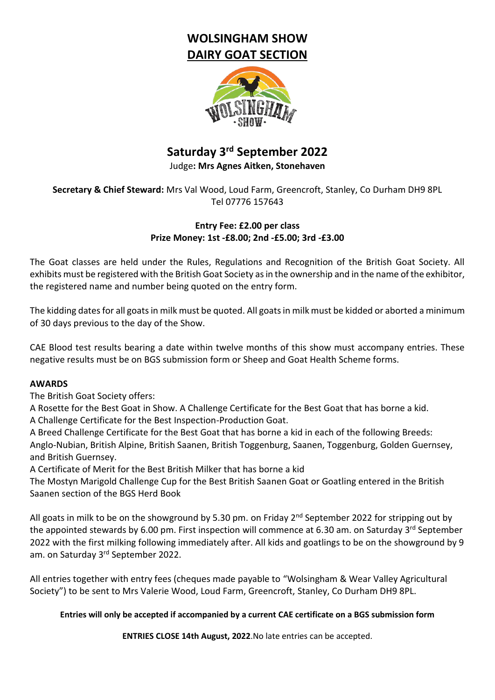# **WOLSINGHAM SHOW DAIRY GOAT SECTION**



# **Saturday 3 rd September 2022**

Judge**: Mrs Agnes Aitken, Stonehaven**

**Secretary & Chief Steward:** Mrs Val Wood, Loud Farm, Greencroft, Stanley, Co Durham DH9 8PL Tel 07776 157643

## **Entry Fee: £2.00 per class Prize Money: 1st -£8.00; 2nd -£5.00; 3rd -£3.00**

The Goat classes are held under the Rules, Regulations and Recognition of the British Goat Society. All exhibits must be registered with the British Goat Society as in the ownership and in the name of the exhibitor, the registered name and number being quoted on the entry form.

The kidding dates for all goats in milk must be quoted. All goats in milk must be kidded or aborted a minimum of 30 days previous to the day of the Show.

CAE Blood test results bearing a date within twelve months of this show must accompany entries. These negative results must be on BGS submission form or Sheep and Goat Health Scheme forms.

### **AWARDS**

The British Goat Society offers:

A Rosette for the Best Goat in Show. A Challenge Certificate for the Best Goat that has borne a kid. A Challenge Certificate for the Best Inspection-Production Goat.

A Breed Challenge Certificate for the Best Goat that has borne a kid in each of the following Breeds: Anglo-Nubian, British Alpine, British Saanen, British Toggenburg, Saanen, Toggenburg, Golden Guernsey, and British Guernsey.

A Certificate of Merit for the Best British Milker that has borne a kid

The Mostyn Marigold Challenge Cup for the Best British Saanen Goat or Goatling entered in the British Saanen section of the BGS Herd Book

All goats in milk to be on the showground by 5.30 pm. on Friday 2<sup>nd</sup> September 2022 for stripping out by the appointed stewards by 6.00 pm. First inspection will commence at 6.30 am. on Saturday 3<sup>rd</sup> September 2022 with the first milking following immediately after. All kids and goatlings to be on the showground by 9 am. on Saturday 3<sup>rd</sup> September 2022.

All entries together with entry fees (cheques made payable to "Wolsingham & Wear Valley Agricultural Society") to be sent to Mrs Valerie Wood, Loud Farm, Greencroft, Stanley, Co Durham DH9 8PL.

### **Entries will only be accepted if accompanied by a current CAE certificate on a BGS submission form**

**ENTRIES CLOSE 14th August, 2022**.No late entries can be accepted.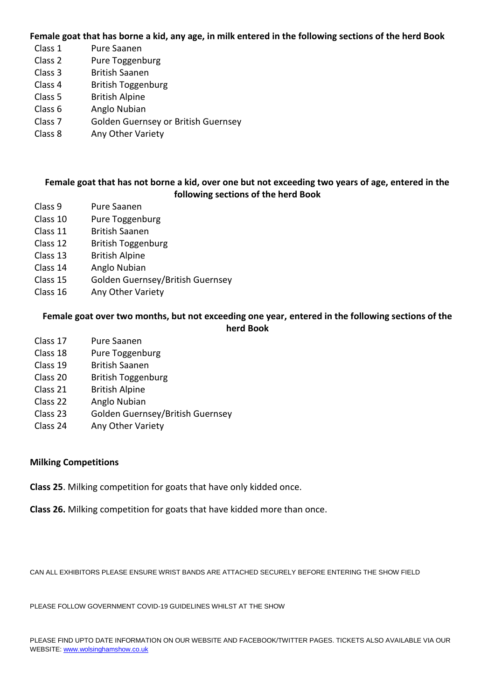**Female goat that has borne a kid, any age, in milk entered in the following sections of the herd Book**

- Class 1 Pure Saanen
- Class 2 Pure Toggenburg
- Class 3 British Saanen
- Class 4 British Toggenburg
- Class 5 British Alpine
- Class 6 Anglo Nubian
- Class 7 Golden Guernsey or British Guernsey
- Class 8 Any Other Variety

#### **Female goat that has not borne a kid, over one but not exceeding two years of age, entered in the following sections of the herd Book**

- Class 9 Pure Saanen
- Class 10 Pure Toggenburg
- Class 11 British Saanen
- Class 12 British Toggenburg
- Class 13 British Alpine
- Class 14 Anglo Nubian
- Class 15 Golden Guernsey/British Guernsey
- Class 16 Any Other Variety

#### **Female goat over two months, but not exceeding one year, entered in the following sections of the herd Book**

- Class 17 Pure Saanen
- Class 18 Pure Toggenburg
- Class 19 British Saanen
- Class 20 British Toggenburg
- Class 21 British Alpine
- Class 22 Anglo Nubian
- Class 23 Golden Guernsey/British Guernsey
- Class 24 Any Other Variety

#### **Milking Competitions**

**Class 25**. Milking competition for goats that have only kidded once.

**Class 26.** Milking competition for goats that have kidded more than once.

CAN ALL EXHIBITORS PLEASE ENSURE WRIST BANDS ARE ATTACHED SECURELY BEFORE ENTERING THE SHOW FIELD

PLEASE FOLLOW GOVERNMENT COVID-19 GUIDELINES WHILST AT THE SHOW

PLEASE FIND UPTO DATE INFORMATION ON OUR WEBSITE AND FACEBOOK/TWITTER PAGES. TICKETS ALSO AVAILABLE VIA OUR WEBSITE[: www.wolsinghamshow.co.uk](http://www.wolsinghamshow.co.uk/)